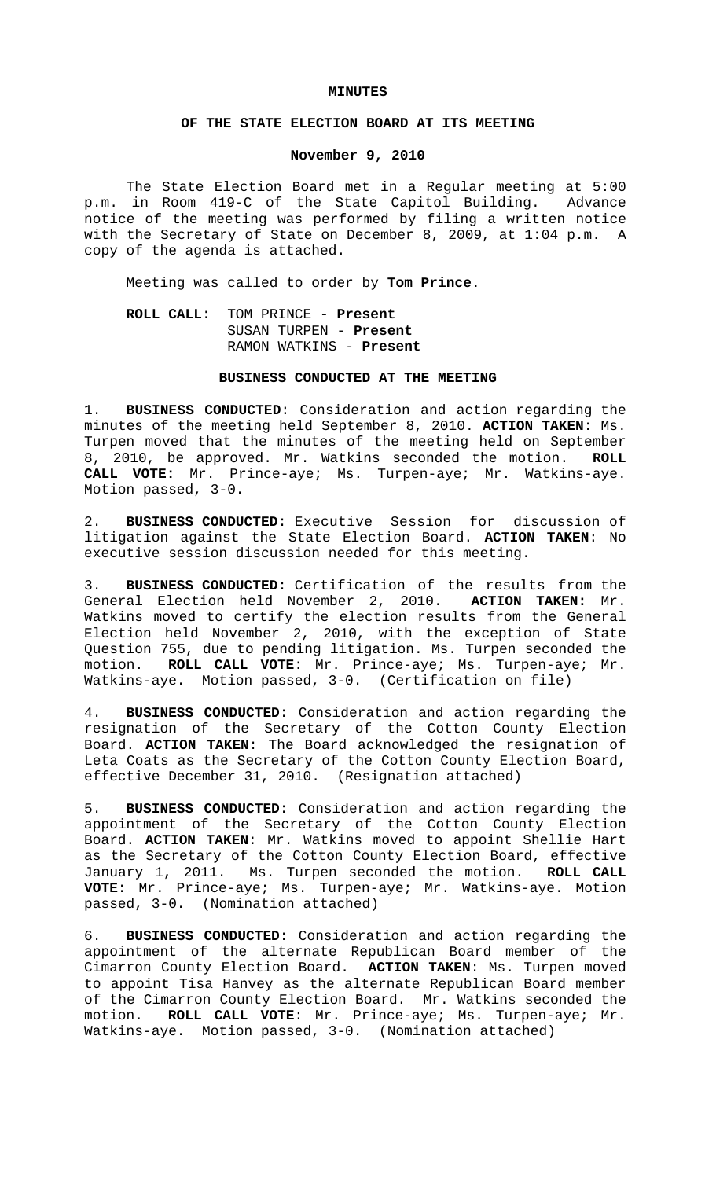#### **MINUTES**

## **OF THE STATE ELECTION BOARD AT ITS MEETING**

## **November 9, 2010**

The State Election Board met in a Regular meeting at 5:00 p.m. in Room 419-C of the State Capitol Building. Advance notice of the meeting was performed by filing a written notice with the Secretary of State on December 8, 2009, at 1:04 p.m. A copy of the agenda is attached.

Meeting was called to order by **Tom Prince**.

# **ROLL CALL**: TOM PRINCE - **Present** SUSAN TURPEN - **Present** RAMON WATKINS - **Present**

#### **BUSINESS CONDUCTED AT THE MEETING**

1. **BUSINESS CONDUCTED**: Consideration and action regarding the minutes of the meeting held September 8, 2010. **ACTION TAKEN**: Ms. Turpen moved that the minutes of the meeting held on September 8, 2010, be approved. Mr. Watkins seconded the motion. **ROLL CALL VOTE:** Mr. Prince-aye; Ms. Turpen-aye; Mr. Watkins-aye. Motion passed, 3-0.

2. **BUSINESS CONDUCTED:** Executive Session for discussion of litigation against the State Election Board. **ACTION TAKEN**: No executive session discussion needed for this meeting.

3. **BUSINESS CONDUCTED:** Certification of the results from the General Election held November 2, 2010. **ACTION TAKEN:** Mr. Watkins moved to certify the election results from the General Election held November 2, 2010, with the exception of State Question 755, due to pending litigation. Ms. Turpen seconded the motion. **ROLL CALL VOTE**: Mr. Prince-aye; Ms. Turpen-aye; Mr. Watkins-aye. Motion passed, 3-0. (Certification on file)

4. **BUSINESS CONDUCTED**: Consideration and action regarding the resignation of the Secretary of the Cotton County Election Board. **ACTION TAKEN**: The Board acknowledged the resignation of Leta Coats as the Secretary of the Cotton County Election Board, effective December 31, 2010. (Resignation attached)

5. **BUSINESS CONDUCTED**: Consideration and action regarding the appointment of the Secretary of the Cotton County Election Board. **ACTION TAKEN**: Mr. Watkins moved to appoint Shellie Hart as the Secretary of the Cotton County Election Board, effective January 1, 2011. Ms. Turpen seconded the motion. **ROLL CALL VOTE**: Mr. Prince-aye; Ms. Turpen-aye; Mr. Watkins-aye. Motion passed, 3-0. (Nomination attached)

6. **BUSINESS CONDUCTED**: Consideration and action regarding the appointment of the alternate Republican Board member of the Cimarron County Election Board. **ACTION TAKEN**: Ms. Turpen moved to appoint Tisa Hanvey as the alternate Republican Board member of the Cimarron County Election Board. Mr. Watkins seconded the motion. **ROLL CALL VOTE**: Mr. Prince-aye; Ms. Turpen-aye; Mr. Watkins-aye. Motion passed, 3-0. (Nomination attached)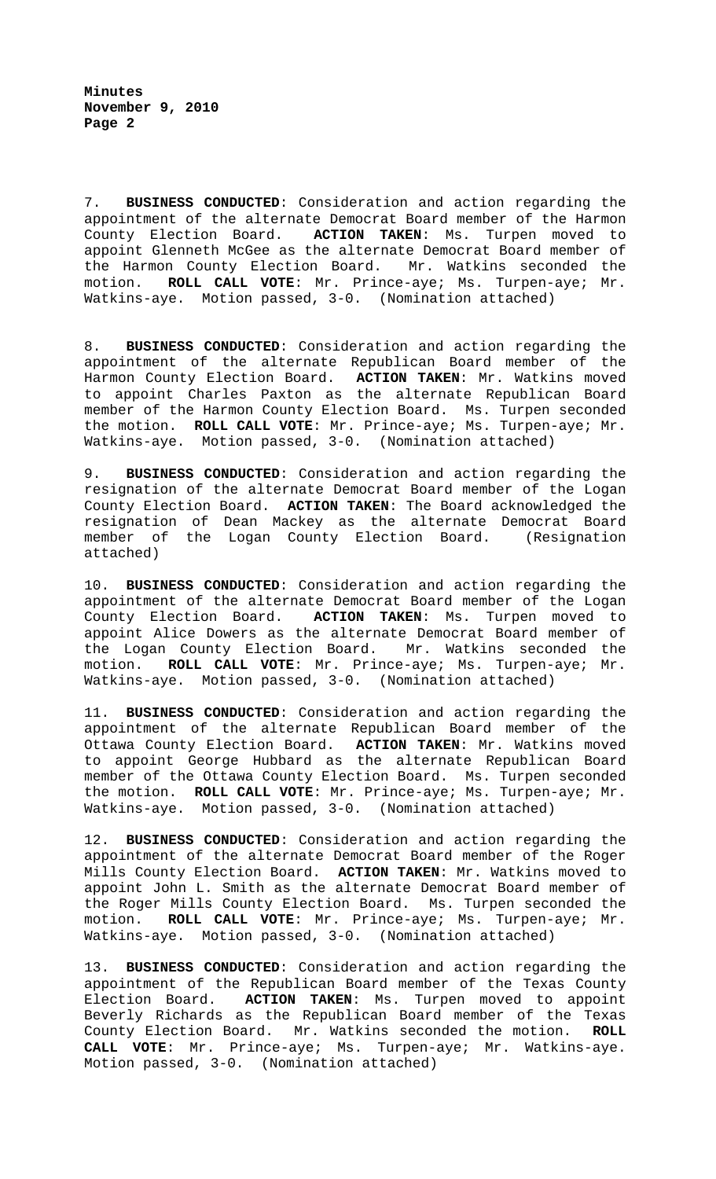**Minutes November 9, 2010 Page 2**

7. **BUSINESS CONDUCTED**: Consideration and action regarding the appointment of the alternate Democrat Board member of the Harmon County Election Board. **ACTION TAKEN**: Ms. Turpen moved to appoint Glenneth McGee as the alternate Democrat Board member of the Harmon County Election Board. Mr. Watkins seconded the motion. **ROLL CALL VOTE**: Mr. Prince-aye; Ms. Turpen-aye; Mr. Watkins-aye. Motion passed, 3-0. (Nomination attached)

8. **BUSINESS CONDUCTED**: Consideration and action regarding the appointment of the alternate Republican Board member of the Harmon County Election Board. **ACTION TAKEN**: Mr. Watkins moved to appoint Charles Paxton as the alternate Republican Board member of the Harmon County Election Board. Ms. Turpen seconded the motion. **ROLL CALL VOTE**: Mr. Prince-aye; Ms. Turpen-aye; Mr. Watkins-aye. Motion passed, 3-0. (Nomination attached)

9. **BUSINESS CONDUCTED**: Consideration and action regarding the resignation of the alternate Democrat Board member of the Logan County Election Board. **ACTION TAKEN**: The Board acknowledged the resignation of Dean Mackey as the alternate Democrat Board member of the Logan County Election Board. (Resignation attached)

10. **BUSINESS CONDUCTED**: Consideration and action regarding the appointment of the alternate Democrat Board member of the Logan County Election Board. **ACTION TAKEN**: Ms. Turpen moved to appoint Alice Dowers as the alternate Democrat Board member of the Logan County Election Board. Mr. Watkins seconded the motion. **ROLL CALL VOTE**: Mr. Prince-aye; Ms. Turpen-aye; Mr. Watkins-aye. Motion passed, 3-0. (Nomination attached)

11. **BUSINESS CONDUCTED**: Consideration and action regarding the appointment of the alternate Republican Board member of the Ottawa County Election Board. **ACTION TAKEN**: Mr. Watkins moved to appoint George Hubbard as the alternate Republican Board member of the Ottawa County Election Board. Ms. Turpen seconded the motion. **ROLL CALL VOTE**: Mr. Prince-aye; Ms. Turpen-aye; Mr. Watkins-aye. Motion passed, 3-0. (Nomination attached)

12. **BUSINESS CONDUCTED**: Consideration and action regarding the appointment of the alternate Democrat Board member of the Roger Mills County Election Board. **ACTION TAKEN**: Mr. Watkins moved to appoint John L. Smith as the alternate Democrat Board member of the Roger Mills County Election Board. Ms. Turpen seconded the motion. **ROLL CALL VOTE**: Mr. Prince-aye; Ms. Turpen-aye; Mr. Watkins-aye. Motion passed, 3-0. (Nomination attached)

13. **BUSINESS CONDUCTED**: Consideration and action regarding the appointment of the Republican Board member of the Texas County Election Board. **ACTION TAKEN**: Ms. Turpen moved to appoint Beverly Richards as the Republican Board member of the Texas County Election Board. Mr. Watkins seconded the motion. **ROLL CALL VOTE**: Mr. Prince-aye; Ms. Turpen-aye; Mr. Watkins-aye. Motion passed, 3-0. (Nomination attached)